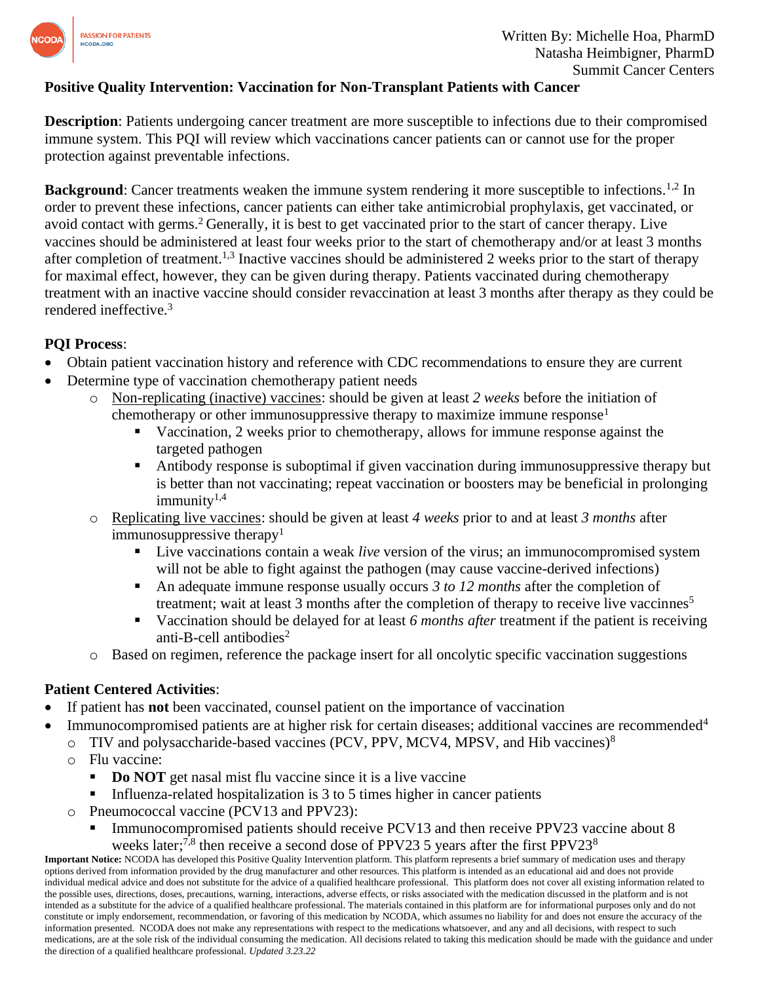

## **Positive Quality Intervention: Vaccination for Non-Transplant Patients with Cancer**

**Description**: Patients undergoing cancer treatment are more susceptible to infections due to their compromised immune system. This PQI will review which vaccinations cancer patients can or cannot use for the proper protection against preventable infections.

**Background**: Cancer treatments weaken the immune system rendering it more susceptible to infections.<sup>1,2</sup> In order to prevent these infections, cancer patients can either take antimicrobial prophylaxis, get vaccinated, or avoid contact with germs.<sup>2</sup> Generally, it is best to get vaccinated prior to the start of cancer therapy. Live vaccines should be administered at least four weeks prior to the start of chemotherapy and/or at least 3 months after completion of treatment.1,3 Inactive vaccines should be administered 2 weeks prior to the start of therapy for maximal effect, however, they can be given during therapy. Patients vaccinated during chemotherapy treatment with an inactive vaccine should consider revaccination at least 3 months after therapy as they could be rendered ineffective.<sup>3</sup>

## **PQI Process**:

- Obtain patient vaccination history and reference with CDC recommendations to ensure they are current
- Determine type of vaccination chemotherapy patient needs
	- o Non-replicating (inactive) vaccines: should be given at least *2 weeks* before the initiation of chemotherapy or other immunosuppressive therapy to maximize immune response<sup>1</sup>
		- Vaccination, 2 weeks prior to chemotherapy, allows for immune response against the targeted pathogen
		- Antibody response is suboptimal if given vaccination during immunosuppressive therapy but is better than not vaccinating; repeat vaccination or boosters may be beneficial in prolonging  $immunity<sup>1,4</sup>$
	- o Replicating live vaccines: should be given at least *4 weeks* prior to and at least *3 months* after immunosuppressive therapy $1$ 
		- Live vaccinations contain a weak *live* version of the virus; an immunocompromised system will not be able to fight against the pathogen (may cause vaccine-derived infections)
		- An adequate immune response usually occurs *3 to 12 months* after the completion of treatment; wait at least 3 months after the completion of therapy to receive live vaccinnes<sup>5</sup>
		- Vaccination should be delayed for at least 6 *months after* treatment if the patient is receiving anti-B-cell antibodies<sup>2</sup>
	- o Based on regimen, reference the package insert for all oncolytic specific vaccination suggestions

## **Patient Centered Activities**:

- If patient has **not** been vaccinated, counsel patient on the importance of vaccination
- Immunocompromised patients are at higher risk for certain diseases; additional vaccines are recommended<sup>4</sup>
	- $\circ$  TIV and polysaccharide-based vaccines (PCV, PPV, MCV4, MPSV, and Hib vaccines)<sup>8</sup>
	- o Flu vaccine:
		- **Do NOT** get nasal mist flu vaccine since it is a live vaccine
		- Influenza-related hospitalization is 3 to 5 times higher in cancer patients
	- o Pneumococcal vaccine (PCV13 and PPV23):
		- Immunocompromised patients should receive PCV13 and then receive PPV23 vaccine about 8 weeks later;<sup>7,8</sup> then receive a second dose of PPV23 5 years after the first PPV23<sup>8</sup>

**Important Notice:** NCODA has developed this Positive Quality Intervention platform. This platform represents a brief summary of medication uses and therapy options derived from information provided by the drug manufacturer and other resources. This platform is intended as an educational aid and does not provide individual medical advice and does not substitute for the advice of a qualified healthcare professional. This platform does not cover all existing information related to the possible uses, directions, doses, precautions, warning, interactions, adverse effects, or risks associated with the medication discussed in the platform and is not intended as a substitute for the advice of a qualified healthcare professional. The materials contained in this platform are for informational purposes only and do not constitute or imply endorsement, recommendation, or favoring of this medication by NCODA, which assumes no liability for and does not ensure the accuracy of the information presented. NCODA does not make any representations with respect to the medications whatsoever, and any and all decisions, with respect to such medications, are at the sole risk of the individual consuming the medication. All decisions related to taking this medication should be made with the guidance and under the direction of a qualified healthcare professional. *Updated 3.23.22*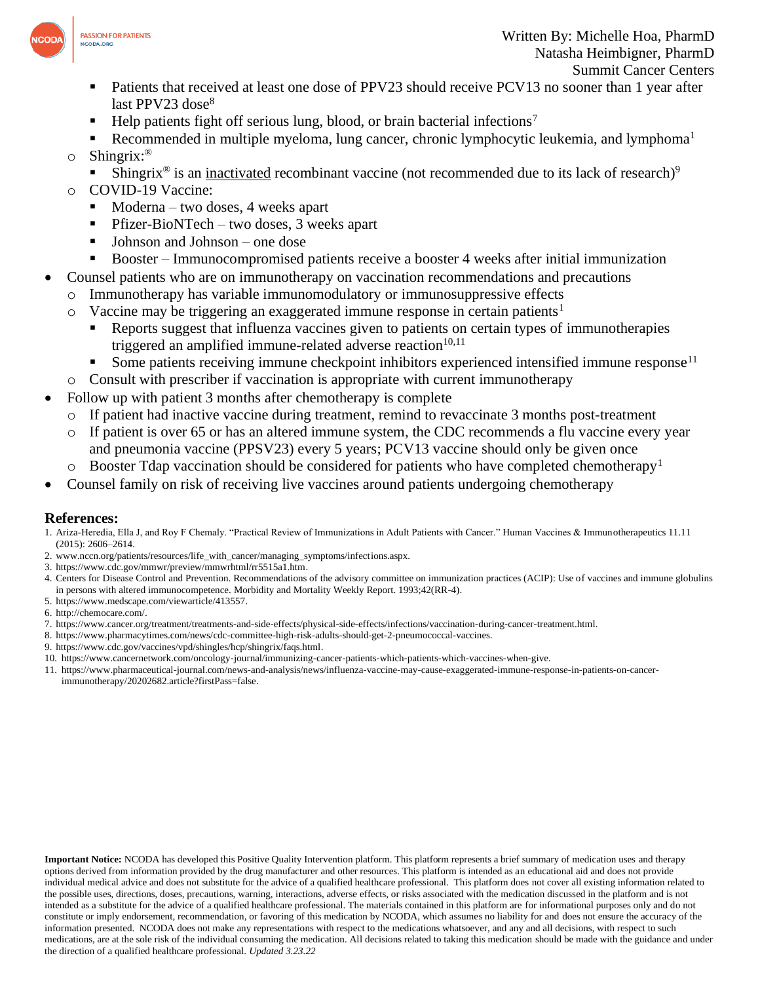

- Patients that received at least one dose of PPV23 should receive PCV13 no sooner than 1 year after last PPV23 dose $8$
- Help patients fight off serious lung, blood, or brain bacterial infections<sup>7</sup>
- Recommended in multiple myeloma, lung cancer, chronic lymphocytic leukemia, and lymphoma<sup>1</sup>
- o Shingrix: ®
	- **EXECUTE:** Shingrix<sup>®</sup> is an <u>inactivated</u> recombinant vaccine (not recommended due to its lack of research)<sup>9</sup>
- o COVID-19 Vaccine:
	- $Moderna two doses, 4 weeks apart$
	- **•** Pfizer-BioNTech two doses, 3 weeks apart
	- Johnson and Johnson one dose
	- Booster Immunocompromised patients receive a booster 4 weeks after initial immunization
- Counsel patients who are on immunotherapy on vaccination recommendations and precautions
	- o Immunotherapy has variable immunomodulatory or immunosuppressive effects
	- $\circ$  Vaccine may be triggering an exaggerated immune response in certain patients<sup>1</sup>
		- Reports suggest that influenza vaccines given to patients on certain types of immunotherapies triggered an amplified immune-related adverse reaction $10,11$
		- Some patients receiving immune checkpoint inhibitors experienced intensified immune response<sup>11</sup>
	- o Consult with prescriber if vaccination is appropriate with current immunotherapy
- Follow up with patient 3 months after chemotherapy is complete
	- If patient had inactive vaccine during treatment, remind to revaccinate 3 months post-treatment
	- o If patient is over 65 or has an altered immune system, the CDC recommends a flu vaccine every year and pneumonia vaccine (PPSV23) every 5 years; PCV13 vaccine should only be given once
	- $\circ$  Booster Tdap vaccination should be considered for patients who have completed chemotherapy<sup>1</sup>
- Counsel family on risk of receiving live vaccines around patients undergoing chemotherapy

### **References:**

- 1. Ariza-Heredia, Ella J, and Roy F Chemaly. "Practical Review of Immunizations in Adult Patients with Cancer." Human Vaccines & Immunotherapeutics 11.11 (2015): 2606–2614.
- 2. www.nccn.org/patients/resources/life\_with\_cancer/managing\_symptoms/infections.aspx.
- 3. https://www.cdc.gov/mmwr/preview/mmwrhtml/rr5515a1.htm.
- 4. Centers for Disease Control and Prevention. Recommendations of the advisory committee on immunization practices (ACIP): Use of vaccines and immune globulins in persons with altered immunocompetence. Morbidity and Mortality Weekly Report. 1993;42(RR-4).
- 5. https://www.medscape.com/viewarticle/413557.
- 6. http://chemocare.com/.
- 7. https://www.cancer.org/treatment/treatments-and-side-effects/physical-side-effects/infections/vaccination-during-cancer-treatment.html.
- 8. https://www.pharmacytimes.com/news/cdc-committee-high-risk-adults-should-get-2-pneumococcal-vaccines.
- 9. https://www.cdc.gov/vaccines/vpd/shingles/hcp/shingrix/faqs.html.
- 10. https://www.cancernetwork.com/oncology-journal/immunizing-cancer-patients-which-patients-which-vaccines-when-give.
- 11. https://www.pharmaceutical-journal.com/news-and-analysis/news/influenza-vaccine-may-cause-exaggerated-immune-response-in-patients-on-cancerimmunotherapy/20202682.article?firstPass=false.

**Important Notice:** NCODA has developed this Positive Quality Intervention platform. This platform represents a brief summary of medication uses and therapy options derived from information provided by the drug manufacturer and other resources. This platform is intended as an educational aid and does not provide individual medical advice and does not substitute for the advice of a qualified healthcare professional. This platform does not cover all existing information related to the possible uses, directions, doses, precautions, warning, interactions, adverse effects, or risks associated with the medication discussed in the platform and is not intended as a substitute for the advice of a qualified healthcare professional. The materials contained in this platform are for informational purposes only and do not constitute or imply endorsement, recommendation, or favoring of this medication by NCODA, which assumes no liability for and does not ensure the accuracy of the information presented. NCODA does not make any representations with respect to the medications whatsoever, and any and all decisions, with respect to such medications, are at the sole risk of the individual consuming the medication. All decisions related to taking this medication should be made with the guidance and under the direction of a qualified healthcare professional. *Updated 3.23.22*